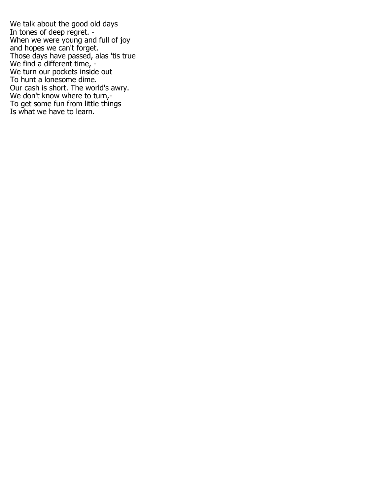We talk about the good old days In tones of deep regret. -When we were young and full of joy and hopes we can't forget. Those days have passed, alas 'tis true We find a different time, -We turn our pockets inside out To hunt a lonesome dime. Our cash is short. The world's awry. We don't know where to turn,-To get some fun from little things Is what we have to learn.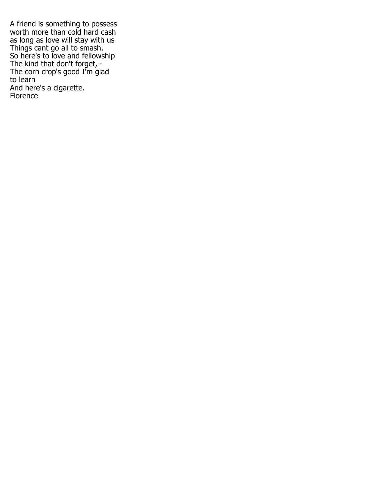A friend is something to possess worth more than cold hard cash as long as love will stay with us Things cant go all to smash. So here's to love and fellowship The kind that don't forget, - The corn crop's good I'm glad to learn And here's a cigarette. Florence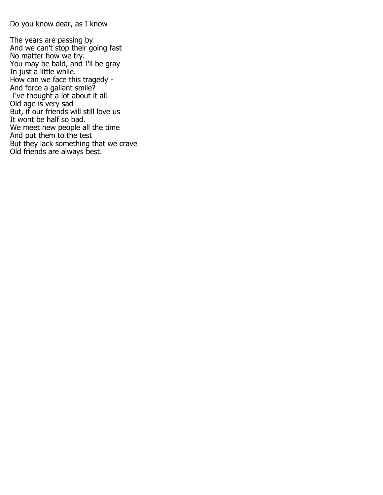Do you know dear, as I know

The years are passing by And we can't stop their going fast No matter how we try. You may be bald, and I'll be gray In just a little while. How can we face this tragedy - And force a gallant smile? I've thought a lot about it all Old age is very sad But, if our friends will still love us It wont be half so bad. We meet new people all the time And put them to the test But they lack something that we crave Old friends are always best.